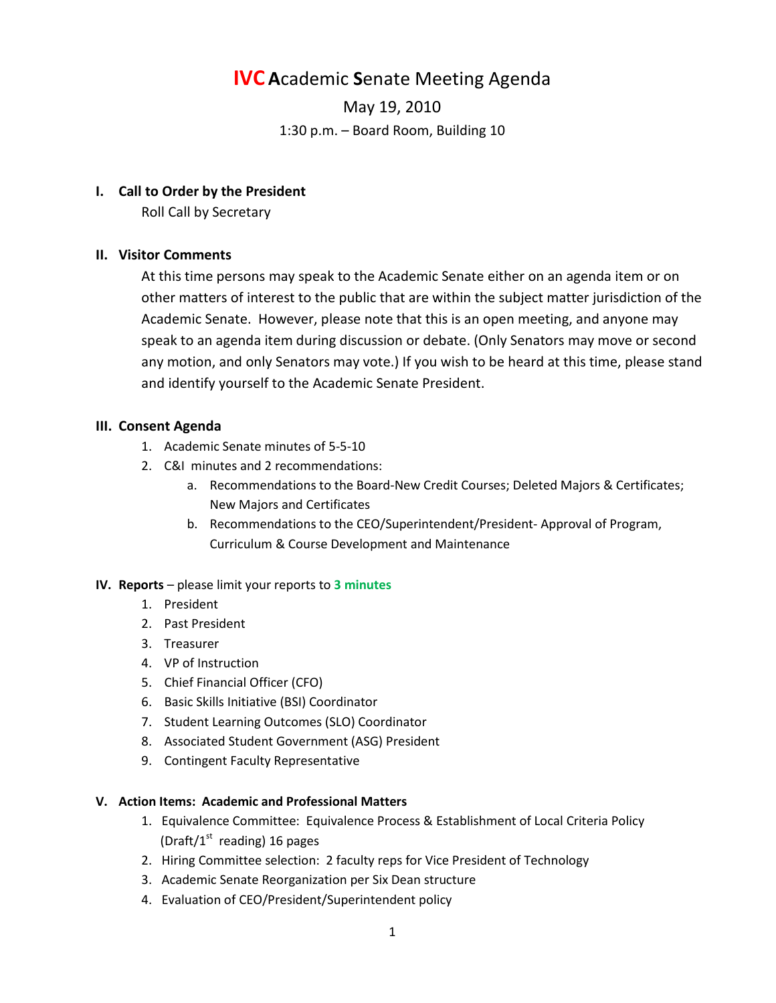# **IVC A**cademic **S**enate Meeting Agenda

May 19, 2010 1:30 p.m. – Board Room, Building 10

## **I. Call to Order by the President**

Roll Call by Secretary

## **II. Visitor Comments**

At this time persons may speak to the Academic Senate either on an agenda item or on other matters of interest to the public that are within the subject matter jurisdiction of the Academic Senate. However, please note that this is an open meeting, and anyone may speak to an agenda item during discussion or debate. (Only Senators may move or second any motion, and only Senators may vote.) If you wish to be heard at this time, please stand and identify yourself to the Academic Senate President.

## **III. Consent Agenda**

- 1. Academic Senate minutes of 5-5-10
- 2. C&I minutes and 2 recommendations:
	- a. Recommendations to the Board-New Credit Courses; Deleted Majors & Certificates; New Majors and Certificates
	- b. Recommendations to the CEO/Superintendent/President- Approval of Program, Curriculum & Course Development and Maintenance

## **IV. Reports** – please limit your reports to **3 minutes**

- 1. President
- 2. Past President
- 3. Treasurer
- 4. VP of Instruction
- 5. Chief Financial Officer (CFO)
- 6. Basic Skills Initiative (BSI) Coordinator
- 7. Student Learning Outcomes (SLO) Coordinator
- 8. Associated Student Government (ASG) President
- 9. Contingent Faculty Representative

## **V. Action Items: Academic and Professional Matters**

- 1. Equivalence Committee: Equivalence Process & Establishment of Local Criteria Policy (Draft/ $1<sup>st</sup>$  reading) 16 pages
- 2. Hiring Committee selection: 2 faculty reps for Vice President of Technology
- 3. Academic Senate Reorganization per Six Dean structure
- 4. Evaluation of CEO/President/Superintendent policy